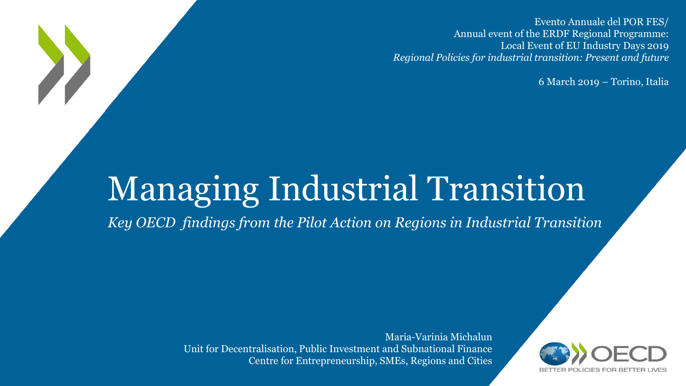Evento Annuale del POR FES/ Annual event of the ERDF Regional Programme: Local Event of EU Industry Days 2019 *Regional Policies for industrial transition: Present and future*

6 March 2019 – Torino, Italia

# Managing Industrial Transition

*Key OECD findings from the Pilot Action on Regions in Industrial Transition*

Maria-Varinia Michalun Unit for Decentralisation, Public Investment and Subnational Finance Centre for Entrepreneurship, SMEs, Regions and Cities

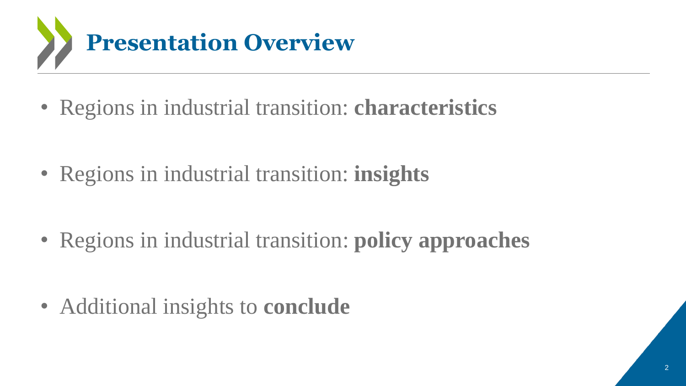

• Regions in industrial transition: **insights**

• Regions in industrial transition: **policy approaches** 

• Additional insights to **conclude**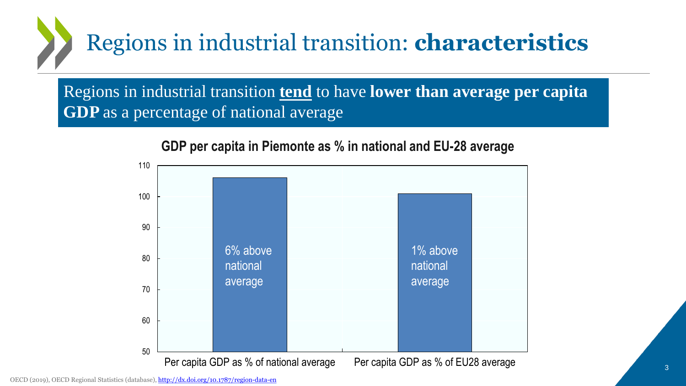Regions in industrial transition **tend** to have **lower than average per capita GDP** as a percentage of national average



**GDP per capita in Piemonte as % in national and EU-28 average**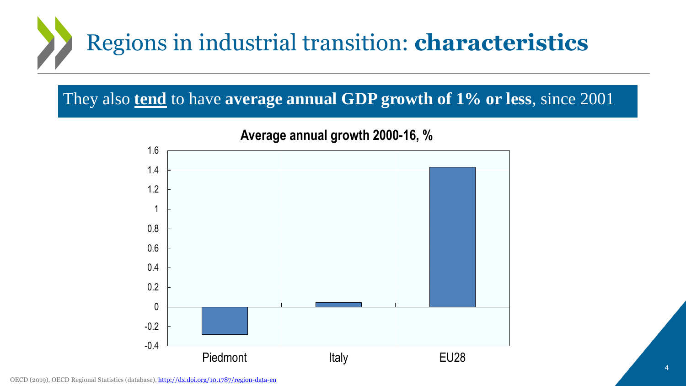

### They also **tend** to have **average annual GDP growth of 1% or less**, since 2001



#### **Average annual growth 2000-16, %**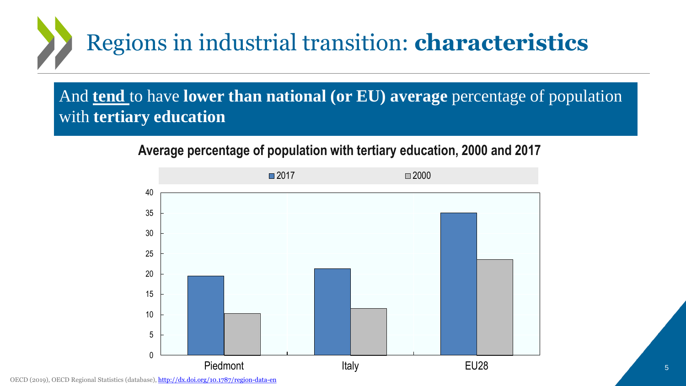

And **tend** to have **lower than national (or EU) average** percentage of population with **tertiary education**

**Average percentage of population with tertiary education, 2000 and 2017**

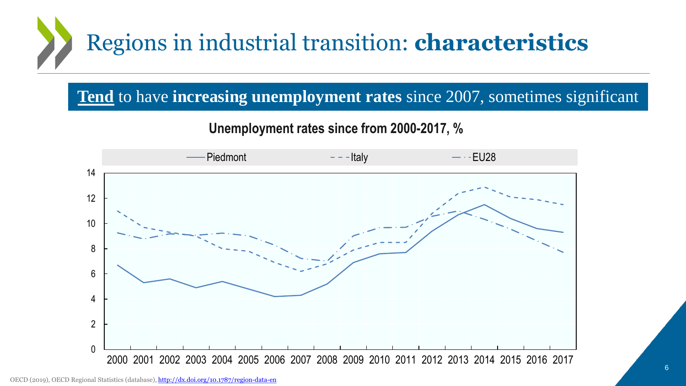### **Tend** to have **increasing unemployment rates** since 2007, sometimes significant

#### **Unemployment rates since from 2000-2017, %**

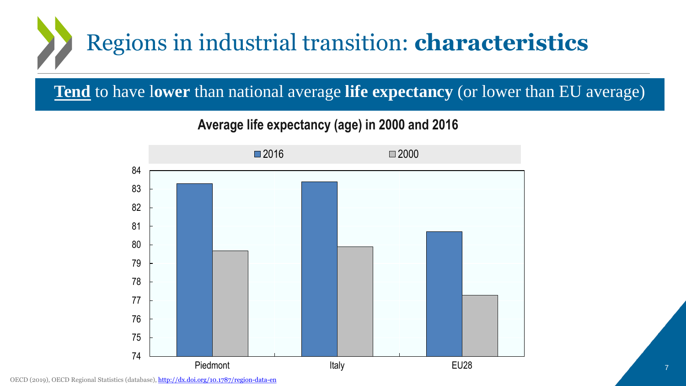**Tend** to have l**ower** than national average **life expectancy** (or lower than EU average)

**Average life expectancy (age) in 2000 and 2016**

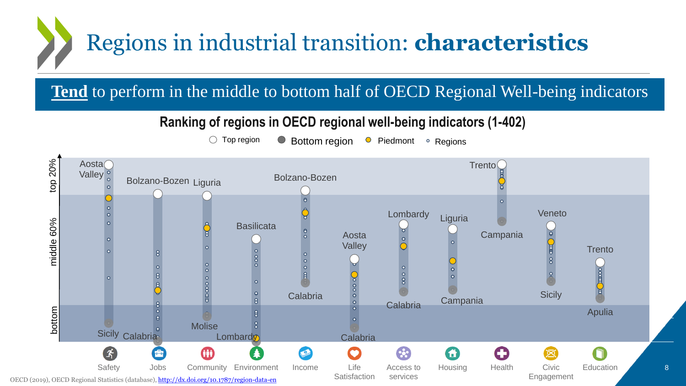**Tend** to perform in the middle to bottom half of OECD Regional Well-being indicators

#### **Ranking of regions in OECD regional well-being indicators (1-402)**

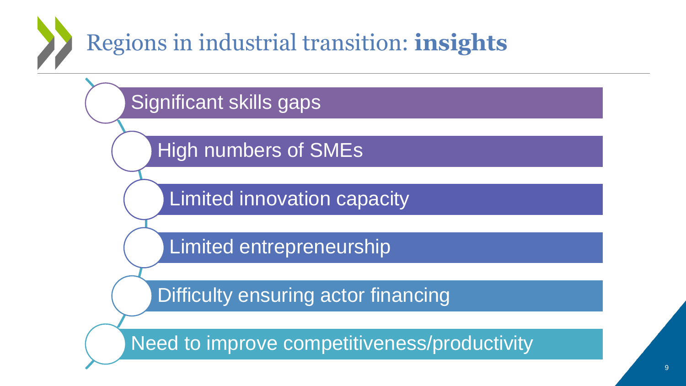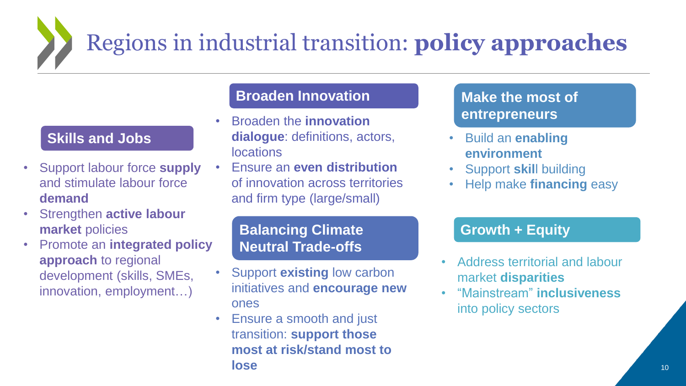# Regions in industrial transition: **policy approaches**

#### **Skills and Jobs**

- Support labour force **supply**  and stimulate labour force **demand**
- Strengthen **active labour market** policies
- Promote an **integrated policy approach** to regional development (skills, SMEs, innovation, employment…)

#### **Broaden Innovation**

- Broaden the **innovation dialogue**: definitions, actors, **locations** 
	- Ensure an **even distribution**  of innovation across territories and firm type (large/small)

#### **Balancing Climate Neutral Trade-offs**

- Support **existing** low carbon initiatives and **encourage new**  ones
- Ensure a smooth and just transition: **support those most at risk/stand most to lose**

#### **Make the most of entrepreneurs**

- Build an **enabling environment**
- Support **skil**l building
- Help make **financing** easy

#### **Growth + Equity**

- Address territorial and labour market **disparities**
- "Mainstream" **inclusiveness** into policy sectors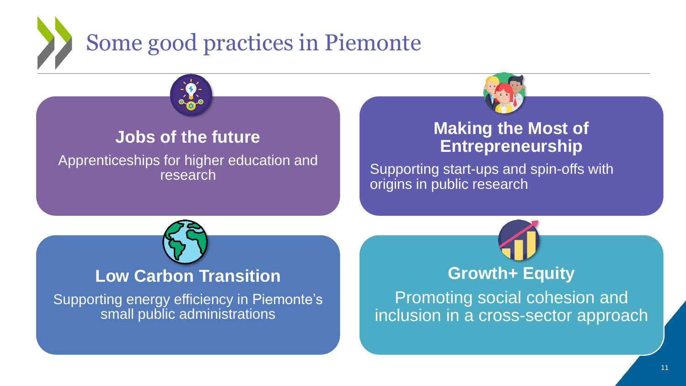

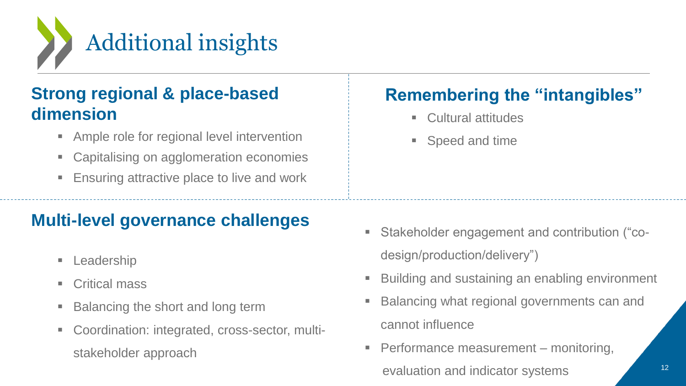

## **Strong regional & place-based dimension**

- Ample role for regional level intervention
- Capitalising on agglomeration economies
- Ensuring attractive place to live and work

### **Multi-level governance challenges**

- **Leadership**
- Critical mass
- Balancing the short and long term
- Coordination: integrated, cross-sector, multistakeholder approach

# **Remembering the "intangibles"**

- Cultural attitudes
- Speed and time

- Stakeholder engagement and contribution ("codesign/production/delivery")
- Building and sustaining an enabling environment
- Balancing what regional governments can and cannot influence
- Performance measurement monitoring, evaluation and indicator systems